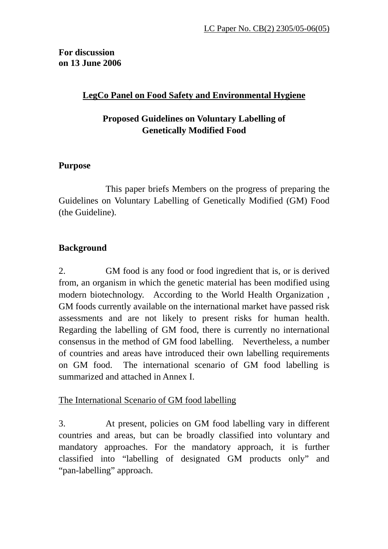### **For discussion on 13 June 2006**

## **LegCo Panel on Food Safety and Environmental Hygiene**

# **Proposed Guidelines on Voluntary Labelling of Genetically Modified Food**

### **Purpose**

 This paper briefs Members on the progress of preparing the Guidelines on Voluntary Labelling of Genetically Modified (GM) Food (the Guideline).

# **Background**

2. GM food is any food or food ingredient that is, or is derived from, an organism in which the genetic material has been modified using modern biotechnology. According to the World Health Organization , GM foods currently available on the international market have passed risk assessments and are not likely to present risks for human health. Regarding the labelling of GM food, there is currently no international consensus in the method of GM food labelling. Nevertheless, a number of countries and areas have introduced their own labelling requirements on GM food. The international scenario of GM food labelling is summarized and attached in Annex I.

### The International Scenario of GM food labelling

3. At present, policies on GM food labelling vary in different countries and areas, but can be broadly classified into voluntary and mandatory approaches. For the mandatory approach, it is further classified into "labelling of designated GM products only" and "pan-labelling" approach.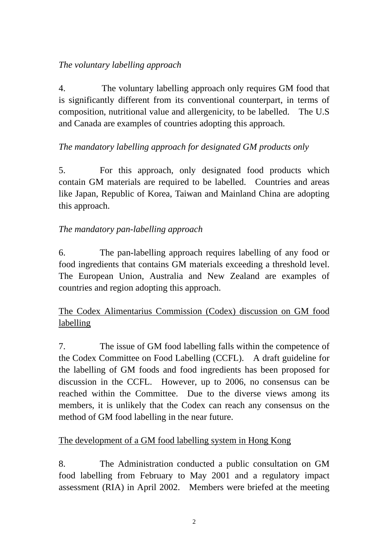### *The voluntary labelling approach*

4. The voluntary labelling approach only requires GM food that is significantly different from its conventional counterpart, in terms of composition, nutritional value and allergenicity, to be labelled. The U.S and Canada are examples of countries adopting this approach.

# *The mandatory labelling approach for designated GM products only*

5. For this approach, only designated food products which contain GM materials are required to be labelled. Countries and areas like Japan, Republic of Korea, Taiwan and Mainland China are adopting this approach.

# *The mandatory pan-labelling approach*

6. The pan-labelling approach requires labelling of any food or food ingredients that contains GM materials exceeding a threshold level. The European Union, Australia and New Zealand are examples of countries and region adopting this approach.

# The Codex Alimentarius Commission (Codex) discussion on GM food labelling

7. The issue of GM food labelling falls within the competence of the Codex Committee on Food Labelling (CCFL). A draft guideline for the labelling of GM foods and food ingredients has been proposed for discussion in the CCFL. However, up to 2006, no consensus can be reached within the Committee. Due to the diverse views among its members, it is unlikely that the Codex can reach any consensus on the method of GM food labelling in the near future.

### The development of a GM food labelling system in Hong Kong

8. The Administration conducted a public consultation on GM food labelling from February to May 2001 and a regulatory impact assessment (RIA) in April 2002. Members were briefed at the meeting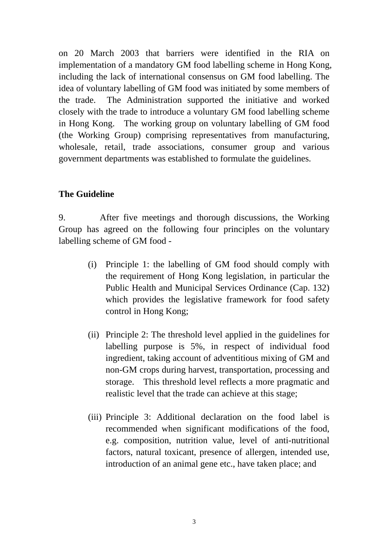on 20 March 2003 that barriers were identified in the RIA on implementation of a mandatory GM food labelling scheme in Hong Kong, including the lack of international consensus on GM food labelling. The idea of voluntary labelling of GM food was initiated by some members of the trade. The Administration supported the initiative and worked closely with the trade to introduce a voluntary GM food labelling scheme in Hong Kong. The working group on voluntary labelling of GM food (the Working Group) comprising representatives from manufacturing, wholesale, retail, trade associations, consumer group and various government departments was established to formulate the guidelines.

#### **The Guideline**

9. After five meetings and thorough discussions, the Working Group has agreed on the following four principles on the voluntary labelling scheme of GM food -

- (i) Principle 1: the labelling of GM food should comply with the requirement of Hong Kong legislation, in particular the Public Health and Municipal Services Ordinance (Cap. 132) which provides the legislative framework for food safety control in Hong Kong;
- (ii) Principle 2: The threshold level applied in the guidelines for labelling purpose is 5%, in respect of individual food ingredient, taking account of adventitious mixing of GM and non-GM crops during harvest, transportation, processing and storage. This threshold level reflects a more pragmatic and realistic level that the trade can achieve at this stage;
- (iii) Principle 3: Additional declaration on the food label is recommended when significant modifications of the food, e.g. composition, nutrition value, level of anti-nutritional factors, natural toxicant, presence of allergen, intended use, introduction of an animal gene etc., have taken place; and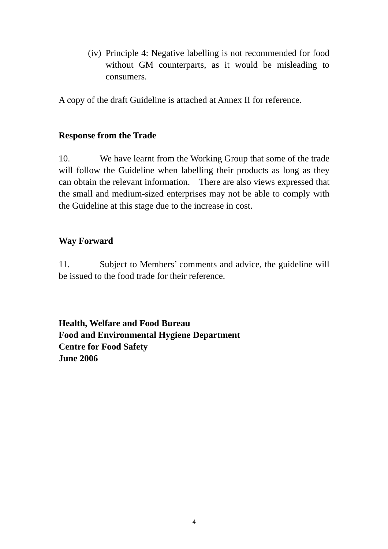(iv) Principle 4: Negative labelling is not recommended for food without GM counterparts, as it would be misleading to consumers.

A copy of the draft Guideline is attached at Annex II for reference.

#### **Response from the Trade**

10. We have learnt from the Working Group that some of the trade will follow the Guideline when labelling their products as long as they can obtain the relevant information. There are also views expressed that the small and medium-sized enterprises may not be able to comply with the Guideline at this stage due to the increase in cost.

### **Way Forward**

11. Subject to Members' comments and advice, the guideline will be issued to the food trade for their reference.

**Health, Welfare and Food Bureau Food and Environmental Hygiene Department Centre for Food Safety June 2006**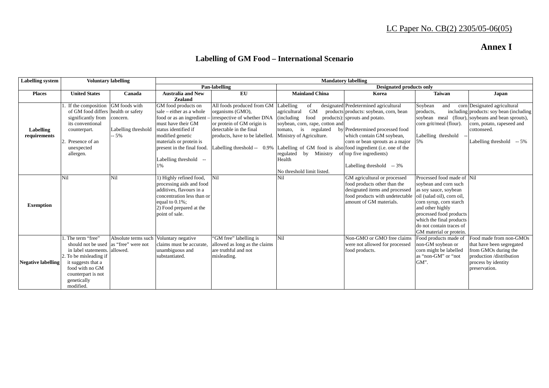## **Annex I**

## **Labelling of GM Food – International Scenario**

| <b>Labelling</b> system   | <b>Voluntary labelling</b>                                                                                                                                                                                       |                     | <b>Mandatory labelling</b>                                                                                                                                                           |                                                                                                |                                                               |                                                                                                                                              |                                                                                                                                                                                                                                                                                                |                                                                                                                                                  |  |
|---------------------------|------------------------------------------------------------------------------------------------------------------------------------------------------------------------------------------------------------------|---------------------|--------------------------------------------------------------------------------------------------------------------------------------------------------------------------------------|------------------------------------------------------------------------------------------------|---------------------------------------------------------------|----------------------------------------------------------------------------------------------------------------------------------------------|------------------------------------------------------------------------------------------------------------------------------------------------------------------------------------------------------------------------------------------------------------------------------------------------|--------------------------------------------------------------------------------------------------------------------------------------------------|--|
|                           |                                                                                                                                                                                                                  |                     | Pan-labelling                                                                                                                                                                        |                                                                                                | <b>Designated products only</b>                               |                                                                                                                                              |                                                                                                                                                                                                                                                                                                |                                                                                                                                                  |  |
| <b>Places</b>             | <b>United States</b>                                                                                                                                                                                             | Canada              | <b>Australia and New</b>                                                                                                                                                             | $E$ U                                                                                          | <b>Mainland China</b>                                         | Korea                                                                                                                                        | <b>Taiwan</b>                                                                                                                                                                                                                                                                                  | Japan                                                                                                                                            |  |
|                           |                                                                                                                                                                                                                  |                     | <b>Zealand</b>                                                                                                                                                                       |                                                                                                |                                                               |                                                                                                                                              |                                                                                                                                                                                                                                                                                                |                                                                                                                                                  |  |
|                           | If the composition GM foods with                                                                                                                                                                                 |                     | GM food products on                                                                                                                                                                  | All foods produced from GM                                                                     | Labelling<br>of                                               | designated Predetermined agricultural                                                                                                        | Soybean<br>and                                                                                                                                                                                                                                                                                 | corn Designated agricultural                                                                                                                     |  |
|                           | of GM food differs health or safety                                                                                                                                                                              |                     | sale – either as a whole                                                                                                                                                             | organisms (GMO),                                                                               | <b>GM</b><br>agricultural                                     | products products: soybean, corn, bean                                                                                                       | products.                                                                                                                                                                                                                                                                                      | including products: soy bean (including)                                                                                                         |  |
|                           | significantly from                                                                                                                                                                                               | concern.            | food or as an ingredient                                                                                                                                                             | irrespective of whether DNA                                                                    | food<br>(including                                            | products): sprouts and potato.                                                                                                               |                                                                                                                                                                                                                                                                                                | soybean meal (flour), soybeans and bean sprouts),                                                                                                |  |
|                           | its conventional                                                                                                                                                                                                 |                     | must have their GM                                                                                                                                                                   | or protein of GM origin is                                                                     | soybean, corn, rape, cotton and                               |                                                                                                                                              | corn grit/meal (flour).                                                                                                                                                                                                                                                                        | corn, potato, rapeseed and                                                                                                                       |  |
| Labelling                 | counterpart.                                                                                                                                                                                                     | Labelling threshold | status identified if                                                                                                                                                                 | detectable in the final                                                                        | tomato, is<br>regulated                                       | by Predetermined processed food                                                                                                              |                                                                                                                                                                                                                                                                                                | cottonseed.                                                                                                                                      |  |
| requirements              |                                                                                                                                                                                                                  | -- 5%               | modified genetic                                                                                                                                                                     | products, have to be labelled.                                                                 | Ministry of Agriculture.                                      | which contain GM soybean,                                                                                                                    | Labelling threshold                                                                                                                                                                                                                                                                            |                                                                                                                                                  |  |
|                           | Presence of an                                                                                                                                                                                                   |                     | materials or protein is                                                                                                                                                              |                                                                                                |                                                               | corn or bean sprouts as a major                                                                                                              |                                                                                                                                                                                                                                                                                                | Labelling threshold $-5\%$                                                                                                                       |  |
|                           | unexpected                                                                                                                                                                                                       |                     | present in the final food.                                                                                                                                                           | Labelling threshold -- 0.9%                                                                    | Labelling of GM food is also food ingredient (i.e. one of the |                                                                                                                                              |                                                                                                                                                                                                                                                                                                |                                                                                                                                                  |  |
|                           | allergen.                                                                                                                                                                                                        |                     |                                                                                                                                                                                      |                                                                                                | regulated by Ministry of top five ingredients)                |                                                                                                                                              |                                                                                                                                                                                                                                                                                                |                                                                                                                                                  |  |
|                           |                                                                                                                                                                                                                  |                     | Labelling threshold --                                                                                                                                                               |                                                                                                | Health                                                        |                                                                                                                                              |                                                                                                                                                                                                                                                                                                |                                                                                                                                                  |  |
|                           |                                                                                                                                                                                                                  |                     | 1%                                                                                                                                                                                   |                                                                                                |                                                               | Labelling threshold $-3\%$                                                                                                                   |                                                                                                                                                                                                                                                                                                |                                                                                                                                                  |  |
|                           |                                                                                                                                                                                                                  |                     |                                                                                                                                                                                      |                                                                                                | No threshold limit listed.                                    |                                                                                                                                              |                                                                                                                                                                                                                                                                                                |                                                                                                                                                  |  |
|                           | Nil                                                                                                                                                                                                              | <b>Nil</b>          | 1) Highly refined food,                                                                                                                                                              | Nil                                                                                            | Nil                                                           | GM agricultural or processed                                                                                                                 | Processed food made of Nil                                                                                                                                                                                                                                                                     |                                                                                                                                                  |  |
|                           |                                                                                                                                                                                                                  |                     | processing aids and food                                                                                                                                                             |                                                                                                |                                                               | food products other than the                                                                                                                 | soybean and corn such                                                                                                                                                                                                                                                                          |                                                                                                                                                  |  |
|                           |                                                                                                                                                                                                                  |                     | additives, flavours in a                                                                                                                                                             |                                                                                                |                                                               | designated items and processed                                                                                                               | as soy sauce, soybean                                                                                                                                                                                                                                                                          |                                                                                                                                                  |  |
|                           |                                                                                                                                                                                                                  |                     |                                                                                                                                                                                      |                                                                                                |                                                               |                                                                                                                                              |                                                                                                                                                                                                                                                                                                |                                                                                                                                                  |  |
| <b>Exemption</b>          |                                                                                                                                                                                                                  |                     |                                                                                                                                                                                      |                                                                                                |                                                               |                                                                                                                                              |                                                                                                                                                                                                                                                                                                |                                                                                                                                                  |  |
|                           |                                                                                                                                                                                                                  |                     |                                                                                                                                                                                      |                                                                                                |                                                               |                                                                                                                                              |                                                                                                                                                                                                                                                                                                |                                                                                                                                                  |  |
|                           |                                                                                                                                                                                                                  |                     |                                                                                                                                                                                      |                                                                                                |                                                               |                                                                                                                                              |                                                                                                                                                                                                                                                                                                |                                                                                                                                                  |  |
|                           |                                                                                                                                                                                                                  |                     |                                                                                                                                                                                      |                                                                                                |                                                               |                                                                                                                                              |                                                                                                                                                                                                                                                                                                |                                                                                                                                                  |  |
|                           |                                                                                                                                                                                                                  |                     |                                                                                                                                                                                      |                                                                                                |                                                               |                                                                                                                                              |                                                                                                                                                                                                                                                                                                |                                                                                                                                                  |  |
|                           |                                                                                                                                                                                                                  |                     |                                                                                                                                                                                      |                                                                                                |                                                               |                                                                                                                                              |                                                                                                                                                                                                                                                                                                |                                                                                                                                                  |  |
|                           |                                                                                                                                                                                                                  |                     |                                                                                                                                                                                      |                                                                                                |                                                               |                                                                                                                                              |                                                                                                                                                                                                                                                                                                |                                                                                                                                                  |  |
|                           |                                                                                                                                                                                                                  |                     |                                                                                                                                                                                      |                                                                                                |                                                               |                                                                                                                                              |                                                                                                                                                                                                                                                                                                |                                                                                                                                                  |  |
|                           |                                                                                                                                                                                                                  |                     |                                                                                                                                                                                      |                                                                                                |                                                               |                                                                                                                                              |                                                                                                                                                                                                                                                                                                |                                                                                                                                                  |  |
|                           |                                                                                                                                                                                                                  |                     |                                                                                                                                                                                      |                                                                                                |                                                               |                                                                                                                                              |                                                                                                                                                                                                                                                                                                |                                                                                                                                                  |  |
|                           |                                                                                                                                                                                                                  |                     |                                                                                                                                                                                      |                                                                                                |                                                               |                                                                                                                                              |                                                                                                                                                                                                                                                                                                |                                                                                                                                                  |  |
|                           |                                                                                                                                                                                                                  |                     |                                                                                                                                                                                      |                                                                                                |                                                               |                                                                                                                                              |                                                                                                                                                                                                                                                                                                |                                                                                                                                                  |  |
|                           |                                                                                                                                                                                                                  |                     |                                                                                                                                                                                      |                                                                                                |                                                               |                                                                                                                                              |                                                                                                                                                                                                                                                                                                |                                                                                                                                                  |  |
|                           |                                                                                                                                                                                                                  |                     |                                                                                                                                                                                      |                                                                                                |                                                               |                                                                                                                                              |                                                                                                                                                                                                                                                                                                |                                                                                                                                                  |  |
| <b>Negative labelling</b> | . The term "free"<br>should not be used as "free" were not<br>in label statements. allowed.<br>2. To be misleading if<br>it suggests that a<br>food with no GM<br>counterpart is not<br>genetically<br>modified. | Absolute terms such | concentration less than or<br>equal to $0.1\%$ ;<br>2) Food prepared at the<br>point of sale.<br>Voluntary negative<br>claims must be accurate,<br>unambiguous and<br>substantiated. | "GM free" labelling is<br>allowed as long as the claims<br>are truthful and not<br>misleading. | Ni1                                                           | food products with undetectable<br>amount of GM materials.<br>Non-GMO or GMO free claims<br>were not allowed for processed<br>food products. | oil (salad oil), corn oil,<br>corn syrup, corn starch<br>and other highly<br>processed food products<br>which the final products<br>do not contain traces of<br>GM material or protein.<br>Food products made of<br>non-GM soybean or<br>corn might be labelled<br>as "non-GM" or "not<br>GM". | Food made from non-GMOs<br>that have been segregated<br>from GMOs during the<br>production /distribution<br>process by identity<br>preservation. |  |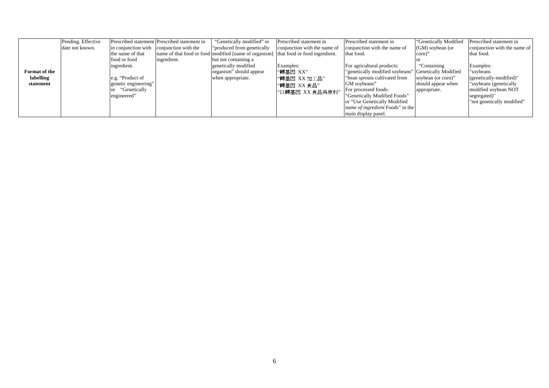|               | Pending. Effective |                      | Prescribed statement Prescribed statement in | "Genetically modified" or                                                           | Prescribed statement in      | Prescribed statement in                              | "Genetically Modified | Prescribed statement in      |
|---------------|--------------------|----------------------|----------------------------------------------|-------------------------------------------------------------------------------------|------------------------------|------------------------------------------------------|-----------------------|------------------------------|
|               | date not known.    |                      | in conjunction with conjunction with the     | "produced from genetically"                                                         | conjunction with the name of | conjunction with the name of                         | $(GM)$ soybean (or    | conjunction with the name of |
|               |                    | the name of that     |                                              | name of that food or food modified [name of organism] that food or food ingredient. |                              | that food.                                           | corn)'                | that food.                   |
|               |                    | food or food         | ingredient.                                  | but not containing a                                                                |                              |                                                      |                       |                              |
|               |                    | ingredient.          |                                              | genetically modified                                                                | Examples:                    | For agricultural products:                           | "Containing           | Examples:                    |
| Format of the |                    |                      |                                              | organism" should appear                                                             | "轉基因 XX"                     | "genetically modified soybeans" Genetically Modified |                       | "soybeans                    |
| labelling     |                    | e.g. "Product of     |                                              | when appropriate.                                                                   | "轉基因 XX 加工品"                 | "bean sprouts cultivated from                        | soybean (or corn)"    | (genetically-modified)"      |
| statement     |                    | genetic engineering" |                                              |                                                                                     | "轉基因 XX 食品"                  | GM soybeans"                                         | should appear when    | "soybeans (genetically       |
|               |                    | "Genetically         |                                              |                                                                                     | "以轉基因 XX 食品為原料"              | For processed foods:                                 | appropriate.          | modified soybean NOT         |
|               |                    | engineered"          |                                              |                                                                                     |                              | "Genetically Modified Foods"                         |                       | segregated)"                 |
|               |                    |                      |                                              |                                                                                     |                              | or "Use Genetically Modified"                        |                       | "not genetically modified"   |
|               |                    |                      |                                              |                                                                                     |                              | <i>name of ingredient</i> Foods" in the              |                       |                              |
|               |                    |                      |                                              |                                                                                     |                              | main display panel.                                  |                       |                              |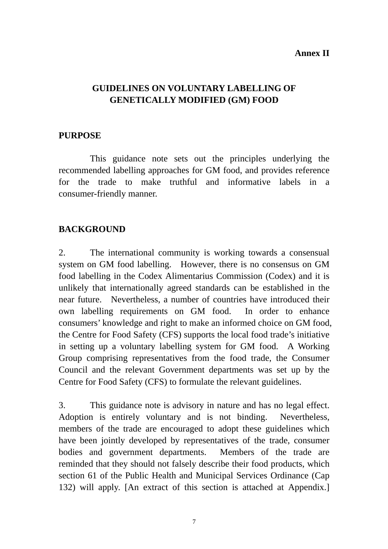#### **Annex II**

#### **GUIDELINES ON VOLUNTARY LABELLING OF GENETICALLY MODIFIED (GM) FOOD**

#### **PURPOSE**

 This guidance note sets out the principles underlying the recommended labelling approaches for GM food, and provides reference for the trade to make truthful and informative labels in a consumer-friendly manner.

#### **BACKGROUND**

2. The international community is working towards a consensual system on GM food labelling. However, there is no consensus on GM food labelling in the Codex Alimentarius Commission (Codex) and it is unlikely that internationally agreed standards can be established in the near future. Nevertheless, a number of countries have introduced their own labelling requirements on GM food. In order to enhance consumers' knowledge and right to make an informed choice on GM food, the Centre for Food Safety (CFS) supports the local food trade's initiative in setting up a voluntary labelling system for GM food. A Working Group comprising representatives from the food trade, the Consumer Council and the relevant Government departments was set up by the Centre for Food Safety (CFS) to formulate the relevant guidelines.

3. This guidance note is advisory in nature and has no legal effect. Adoption is entirely voluntary and is not binding. Nevertheless, members of the trade are encouraged to adopt these guidelines which have been jointly developed by representatives of the trade, consumer bodies and government departments. Members of the trade are reminded that they should not falsely describe their food products, which section 61 of the Public Health and Municipal Services Ordinance (Cap 132) will apply. [An extract of this section is attached at Appendix.]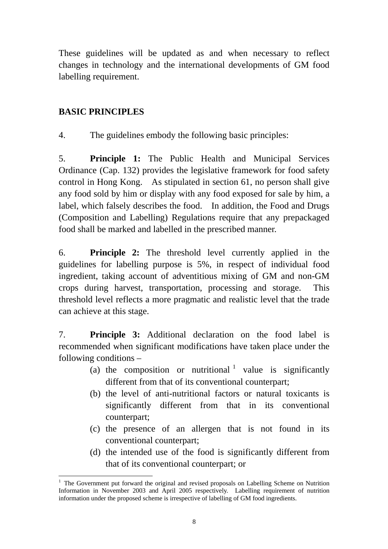These guidelines will be updated as and when necessary to reflect changes in technology and the international developments of GM food labelling requirement.

## **BASIC PRINCIPLES**

4. The guidelines embody the following basic principles:

5. **Principle 1:** The Public Health and Municipal Services Ordinance (Cap. 132) provides the legislative framework for food safety control in Hong Kong. As stipulated in section 61, no person shall give any food sold by him or display with any food exposed for sale by him, a label, which falsely describes the food. In addition, the Food and Drugs (Composition and Labelling) Regulations require that any prepackaged food shall be marked and labelled in the prescribed manner.

6. **Principle 2:** The threshold level currently applied in the guidelines for labelling purpose is 5%, in respect of individual food ingredient, taking account of adventitious mixing of GM and non-GM crops during harvest, transportation, processing and storage. This threshold level reflects a more pragmatic and realistic level that the trade can achieve at this stage.

7. **Principle 3:** Additional declaration on the food label is recommended when significant modifications have taken place under the following conditions –

- (a) the composition or nutritional  $\frac{1}{1}$  value is significantly different from that of its conventional counterpart;
- (b) the level of anti-nutritional factors or natural toxicants is significantly different from that in its conventional counterpart;
- (c) the presence of an allergen that is not found in its conventional counterpart;
- (d) the intended use of the food is significantly different from that of its conventional counterpart; or

 $\overline{a}$ <sup>1</sup> The Government put forward the original and revised proposals on Labelling Scheme on Nutrition Information in November 2003 and April 2005 respectively. Labelling requirement of nutrition information under the proposed scheme is irrespective of labelling of GM food ingredients.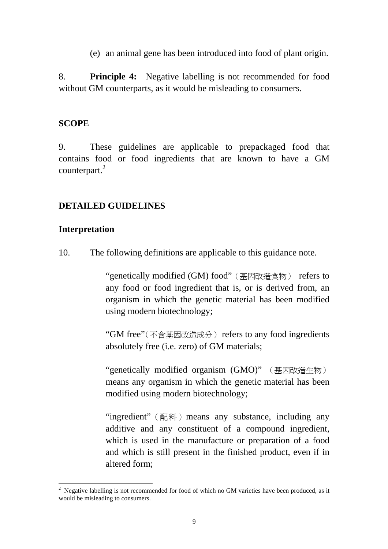(e) an animal gene has been introduced into food of plant origin.

8. **Principle 4:** Negative labelling is not recommended for food without GM counterparts, as it would be misleading to consumers.

#### **SCOPE**

9. These guidelines are applicable to prepackaged food that contains food or food ingredients that are known to have a GM counterpart.<sup>2</sup>

#### **DETAILED GUIDELINES**

#### **Interpretation**

 $\overline{a}$ 

10. The following definitions are applicable to this guidance note.

"genetically modified (GM) food"(基因改造食物) refers to any food or food ingredient that is, or is derived from, an organism in which the genetic material has been modified using modern biotechnology;

"GM free"(不含基因改造成分) refers to any food ingredients absolutely free (i.e. zero) of GM materials;

"genetically modified organism (GMO)" (基因改造生物) means any organism in which the genetic material has been modified using modern biotechnology;

"ingredient" (配料) means any substance, including any additive and any constituent of a compound ingredient, which is used in the manufacture or preparation of a food and which is still present in the finished product, even if in altered form;

<sup>&</sup>lt;sup>2</sup> Negative labelling is not recommended for food of which no GM varieties have been produced, as it would be misleading to consumers.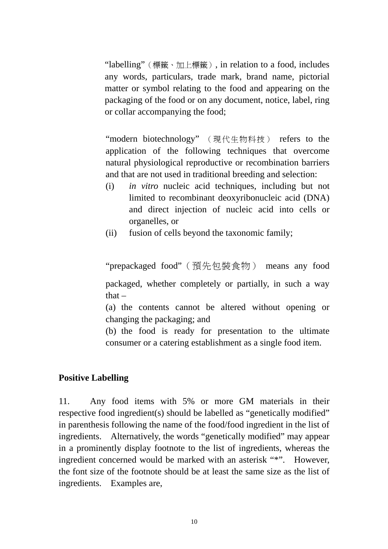"labelling"(標籤、加上標籤), in relation to a food, includes any words, particulars, trade mark, brand name, pictorial matter or symbol relating to the food and appearing on the packaging of the food or on any document, notice, label, ring or collar accompanying the food;

"modern biotechnology" (現代生物科技) refers to the application of the following techniques that overcome natural physiological reproductive or recombination barriers and that are not used in traditional breeding and selection:

- (i) *in vitro* nucleic acid techniques, including but not limited to recombinant deoxyribonucleic acid (DNA) and direct injection of nucleic acid into cells or organelles, or
- (ii) fusion of cells beyond the taxonomic family;

"prepackaged food"(預先包裝食物) means any food packaged, whether completely or partially, in such a way

that $-$ 

(a) the contents cannot be altered without opening or changing the packaging; and

(b) the food is ready for presentation to the ultimate consumer or a catering establishment as a single food item.

#### **Positive Labelling**

11. Any food items with 5% or more GM materials in their respective food ingredient(s) should be labelled as "genetically modified" in parenthesis following the name of the food/food ingredient in the list of ingredients. Alternatively, the words "genetically modified" may appear in a prominently display footnote to the list of ingredients, whereas the ingredient concerned would be marked with an asterisk "\*". However, the font size of the footnote should be at least the same size as the list of ingredients. Examples are,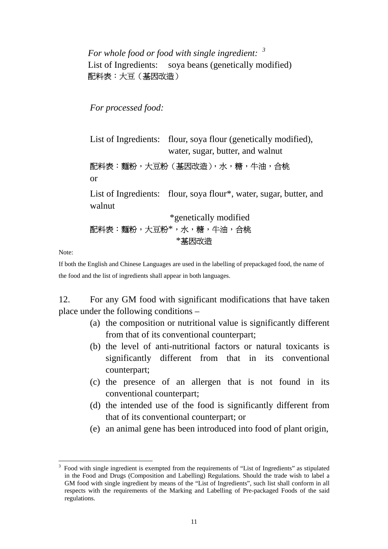# *For whole food or food with single ingredient: <sup>3</sup>* List of Ingredients: soya beans (genetically modified) 配料表:大豆(基因改造)

*For processed food:* 

List of Ingredients: flour, soya flour (genetically modified), water, sugar, butter, and walnut

配料表:麵粉,大豆粉(基因改造),水,糖,牛油,合桃 or

List of Ingredients: flour, soya flour\*, water, sugar, butter, and walnut

\*genetically modified 配料表:麵粉,大豆粉\*,水,糖,牛油,合桃 \*基因改造

Note:

 $\overline{a}$ 

If both the English and Chinese Languages are used in the labelling of prepackaged food, the name of the food and the list of ingredients shall appear in both languages.

12. For any GM food with significant modifications that have taken place under the following conditions –

- (a) the composition or nutritional value is significantly different from that of its conventional counterpart;
- (b) the level of anti-nutritional factors or natural toxicants is significantly different from that in its conventional counterpart;
- (c) the presence of an allergen that is not found in its conventional counterpart;
- (d) the intended use of the food is significantly different from that of its conventional counterpart; or
- (e) an animal gene has been introduced into food of plant origin,

<sup>3</sup> Food with single ingredient is exempted from the requirements of "List of Ingredients" as stipulated in the Food and Drugs (Composition and Labelling) Regulations. Should the trade wish to label a GM food with single ingredient by means of the "List of Ingredients", such list shall conform in all respects with the requirements of the Marking and Labelling of Pre-packaged Foods of the said regulations.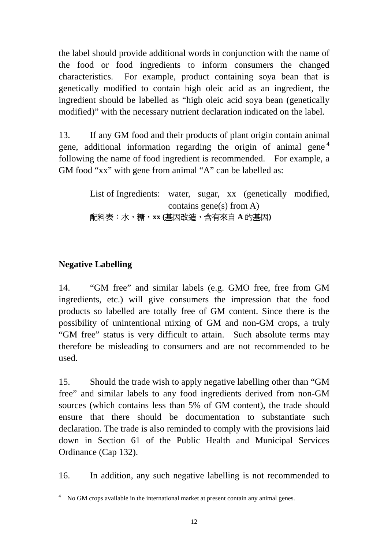the label should provide additional words in conjunction with the name of the food or food ingredients to inform consumers the changed characteristics. For example, product containing soya bean that is genetically modified to contain high oleic acid as an ingredient, the ingredient should be labelled as "high oleic acid soya bean (genetically modified)" with the necessary nutrient declaration indicated on the label.

13. If any GM food and their products of plant origin contain animal gene, additional information regarding the origin of animal gene<sup>4</sup> following the name of food ingredient is recommended. For example, a GM food "xx" with gene from animal "A" can be labelled as:

> List of Ingredients: water, sugar, xx (genetically modified, contains gene(s) from  $A$ ) 配料表:水,糖,**xx (**基因改造,含有來自 **A** 的基因**)**

# **Negative Labelling**

14. "GM free" and similar labels (e.g. GMO free, free from GM ingredients, etc.) will give consumers the impression that the food products so labelled are totally free of GM content. Since there is the possibility of unintentional mixing of GM and non-GM crops, a truly "GM free" status is very difficult to attain. Such absolute terms may therefore be misleading to consumers and are not recommended to be used.

15. Should the trade wish to apply negative labelling other than "GM free" and similar labels to any food ingredients derived from non-GM sources (which contains less than 5% of GM content), the trade should ensure that there should be documentation to substantiate such declaration. The trade is also reminded to comply with the provisions laid down in Section 61 of the Public Health and Municipal Services Ordinance (Cap 132).

16. In addition, any such negative labelling is not recommended to

 4 No GM crops available in the international market at present contain any animal genes.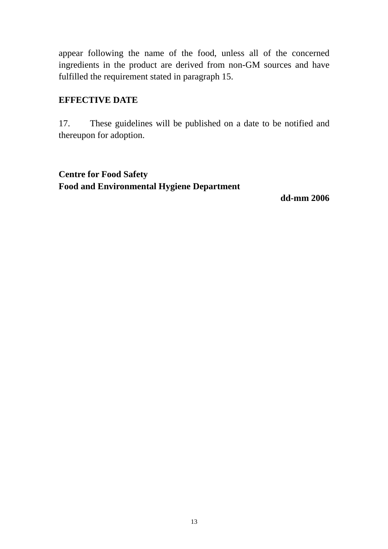appear following the name of the food, unless all of the concerned ingredients in the product are derived from non-GM sources and have fulfilled the requirement stated in paragraph 15.

#### **EFFECTIVE DATE**

17. These guidelines will be published on a date to be notified and thereupon for adoption.

### **Centre for Food Safety Food and Environmental Hygiene Department**

**dd-mm 2006**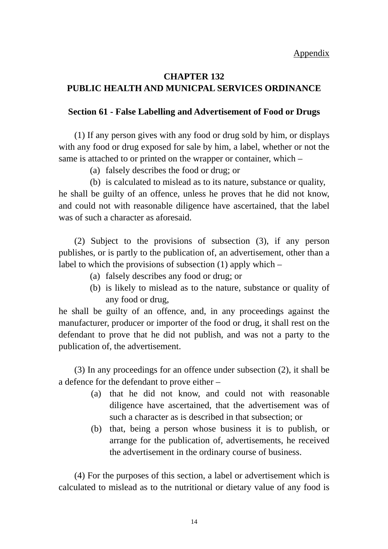### **CHAPTER 132 PUBLIC HEALTH AND MUNICPAL SERVICES ORDINANCE**

#### **Section 61 - False Labelling and Advertisement of Food or Drugs**

(1) If any person gives with any food or drug sold by him, or displays with any food or drug exposed for sale by him, a label, whether or not the same is attached to or printed on the wrapper or container, which –

(a) falsely describes the food or drug; or

(b) is calculated to mislead as to its nature, substance or quality, he shall be guilty of an offence, unless he proves that he did not know, and could not with reasonable diligence have ascertained, that the label was of such a character as aforesaid.

 (2) Subject to the provisions of subsection (3), if any person publishes, or is partly to the publication of, an advertisement, other than a label to which the provisions of subsection (1) apply which –

- (a) falsely describes any food or drug; or
- (b) is likely to mislead as to the nature, substance or quality of any food or drug,

he shall be guilty of an offence, and, in any proceedings against the manufacturer, producer or importer of the food or drug, it shall rest on the defendant to prove that he did not publish, and was not a party to the publication of, the advertisement.

 (3) In any proceedings for an offence under subsection (2), it shall be a defence for the defendant to prove either –

- (a) that he did not know, and could not with reasonable diligence have ascertained, that the advertisement was of such a character as is described in that subsection; or
- (b) that, being a person whose business it is to publish, or arrange for the publication of, advertisements, he received the advertisement in the ordinary course of business.

 (4) For the purposes of this section, a label or advertisement which is calculated to mislead as to the nutritional or dietary value of any food is